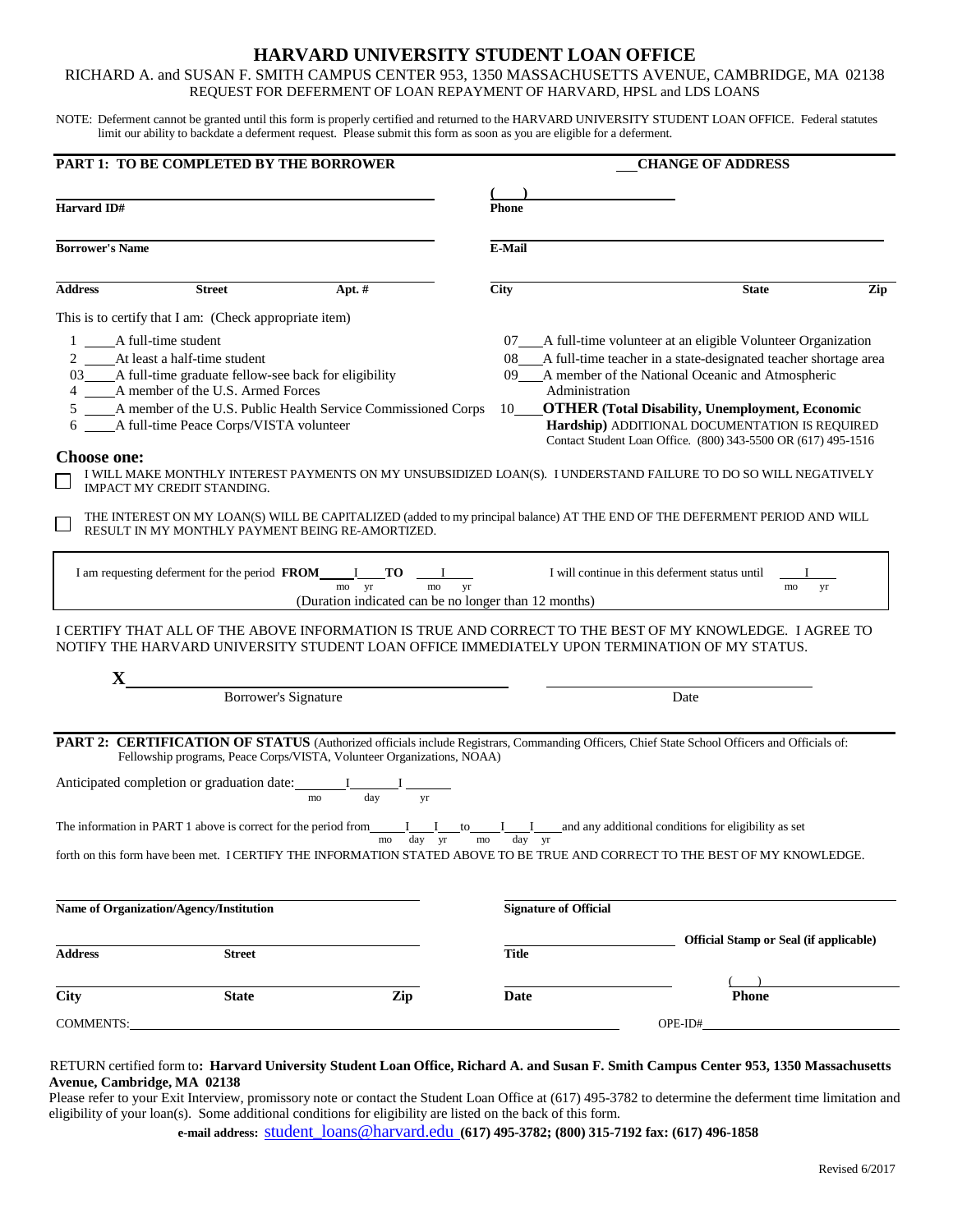# **HARVARD UNIVERSITY STUDENT LOAN OFFICE**

RICHARD A. and SUSAN F. SMITH CAMPUS CENTER 953, 1350 MASSACHUSETTS AVENUE, CAMBRIDGE, MA 02138 REQUEST FOR DEFERMENT OF LOAN REPAYMENT OF HARVARD, HPSL and LDS LOANS

NOTE: Deferment cannot be granted until this form is properly certified and returned to the HARVARD UNIVERSITY STUDENT LOAN OFFICE. Federal statutes limit our ability to backdate a deferment request. Please submit this form as soon as you are eligible for a deferment.

|                                                                                                                                             | PART 1: TO BE COMPLETED BY THE BORROWER                                                                                                                                                                                                                                                     |                                                                                                                                                                                                                                                          | <b>CHANGE OF ADDRESS</b>  |                                                                                                                                                                                                                                                                                                                                                                                                                                                                                                                                                                                                                                                                                                                                                                                                                        |  |  |
|---------------------------------------------------------------------------------------------------------------------------------------------|---------------------------------------------------------------------------------------------------------------------------------------------------------------------------------------------------------------------------------------------------------------------------------------------|----------------------------------------------------------------------------------------------------------------------------------------------------------------------------------------------------------------------------------------------------------|---------------------------|------------------------------------------------------------------------------------------------------------------------------------------------------------------------------------------------------------------------------------------------------------------------------------------------------------------------------------------------------------------------------------------------------------------------------------------------------------------------------------------------------------------------------------------------------------------------------------------------------------------------------------------------------------------------------------------------------------------------------------------------------------------------------------------------------------------------|--|--|
| Harvard ID#                                                                                                                                 |                                                                                                                                                                                                                                                                                             |                                                                                                                                                                                                                                                          | <b>Phone</b>              |                                                                                                                                                                                                                                                                                                                                                                                                                                                                                                                                                                                                                                                                                                                                                                                                                        |  |  |
| <b>Borrower's Name</b>                                                                                                                      |                                                                                                                                                                                                                                                                                             |                                                                                                                                                                                                                                                          | <b>E-Mail</b>             |                                                                                                                                                                                                                                                                                                                                                                                                                                                                                                                                                                                                                                                                                                                                                                                                                        |  |  |
| <b>Address</b>                                                                                                                              | <b>Street</b>                                                                                                                                                                                                                                                                               | Apt. $#$                                                                                                                                                                                                                                                 | <b>City</b>               | <b>State</b><br>Zip                                                                                                                                                                                                                                                                                                                                                                                                                                                                                                                                                                                                                                                                                                                                                                                                    |  |  |
| 1 A full-time student<br><b>Choose one:</b>                                                                                                 | This is to certify that I am: (Check appropriate item)<br>2 At least a half-time student<br>03____A full-time graduate fellow-see back for eligibility<br>4 _____ A member of the U.S. Armed Forces<br>6 _____ A full-time Peace Corps/VISTA volunteer<br><b>IMPACT MY CREDIT STANDING.</b> | 5 _____ A member of the U.S. Public Health Service Commissioned Corps<br>RESULT IN MY MONTHLY PAYMENT BEING RE-AMORTIZED.<br>I am requesting deferment for the period FROM I TO I<br>mo yr<br>mo<br>(Duration indicated can be no longer than 12 months) | $10$ <sub>___</sub><br>yr | 07_A full-time volunteer at an eligible Volunteer Organization<br>08_A full-time teacher in a state-designated teacher shortage area<br>09___A member of the National Oceanic and Atmospheric<br>Administration<br><b>OTHER (Total Disability, Unemployment, Economic</b><br>Hardship) ADDITIONAL DOCUMENTATION IS REQUIRED<br>Contact Student Loan Office. (800) 343-5500 OR (617) 495-1516<br>I WILL MAKE MONTHLY INTEREST PAYMENTS ON MY UNSUBSIDIZED LOAN(S). I UNDERSTAND FAILURE TO DO SO WILL NEGATIVELY<br>THE INTEREST ON MY LOAN(S) WILL BE CAPITALIZED (added to my principal balance) AT THE END OF THE DEFERMENT PERIOD AND WILL<br>I will continue in this deferment status until<br>yr<br>mo<br>I CERTIFY THAT ALL OF THE ABOVE INFORMATION IS TRUE AND CORRECT TO THE BEST OF MY KNOWLEDGE. I AGREE TO |  |  |
| NOTIFY THE HARVARD UNIVERSITY STUDENT LOAN OFFICE IMMEDIATELY UPON TERMINATION OF MY STATUS.<br>$\mathbf{X}$<br><b>Borrower's Signature</b> |                                                                                                                                                                                                                                                                                             |                                                                                                                                                                                                                                                          |                           | Date                                                                                                                                                                                                                                                                                                                                                                                                                                                                                                                                                                                                                                                                                                                                                                                                                   |  |  |
|                                                                                                                                             | Anticipated completion or graduation date: $\frac{I}{m}$ $\frac{I}{day}$                                                                                                                                                                                                                    | Fellowship programs, Peace Corps/VISTA, Volunteer Organizations, NOAA)<br>yr                                                                                                                                                                             |                           | PART 2: CERTIFICATION OF STATUS (Authorized officials include Registrars, Commanding Officers, Chief State School Officers and Officials of:                                                                                                                                                                                                                                                                                                                                                                                                                                                                                                                                                                                                                                                                           |  |  |
|                                                                                                                                             |                                                                                                                                                                                                                                                                                             | day yr<br>mo                                                                                                                                                                                                                                             | mo<br>day yr              | The information in PART 1 above is correct for the period from $I$ $I$ to $I$ and any additional conditions for eligibility as set<br>forth on this form have been met. I CERTIFY THE INFORMATION STATED ABOVE TO BE TRUE AND CORRECT TO THE BEST OF MY KNOWLEDGE.                                                                                                                                                                                                                                                                                                                                                                                                                                                                                                                                                     |  |  |
| Name of Organization/Agency/Institution                                                                                                     |                                                                                                                                                                                                                                                                                             |                                                                                                                                                                                                                                                          |                           | <b>Signature of Official</b>                                                                                                                                                                                                                                                                                                                                                                                                                                                                                                                                                                                                                                                                                                                                                                                           |  |  |
| <b>Address</b>                                                                                                                              | <b>Street</b>                                                                                                                                                                                                                                                                               |                                                                                                                                                                                                                                                          | <b>Title</b>              | <b>Official Stamp or Seal (if applicable)</b>                                                                                                                                                                                                                                                                                                                                                                                                                                                                                                                                                                                                                                                                                                                                                                          |  |  |
| City                                                                                                                                        | <b>State</b>                                                                                                                                                                                                                                                                                | Zip                                                                                                                                                                                                                                                      | Date                      | <b>Phone</b>                                                                                                                                                                                                                                                                                                                                                                                                                                                                                                                                                                                                                                                                                                                                                                                                           |  |  |
| <b>COMMENTS:</b>                                                                                                                            |                                                                                                                                                                                                                                                                                             |                                                                                                                                                                                                                                                          |                           | OPE-ID#                                                                                                                                                                                                                                                                                                                                                                                                                                                                                                                                                                                                                                                                                                                                                                                                                |  |  |

## RETURN certified form to**: Harvard University Student Loan Office, Richard A. and Susan F. Smith Campus Center 953, 1350 Massachusetts Avenue, Cambridge, MA 02138**

Please refer to your Exit Interview, promissory note or contact the Student Loan Office at (617) 495-3782 to determine the deferment time limitation and eligibility of your loan(s). Some additional conditions for eligibility are listed on the back of this form.

**e-mail address:** [student\\_loans@harvard.edu](mailto:student_loans@harvard.edu) **(617) 495-3782; (800) 315-7192 fax: (617) 496-1858**